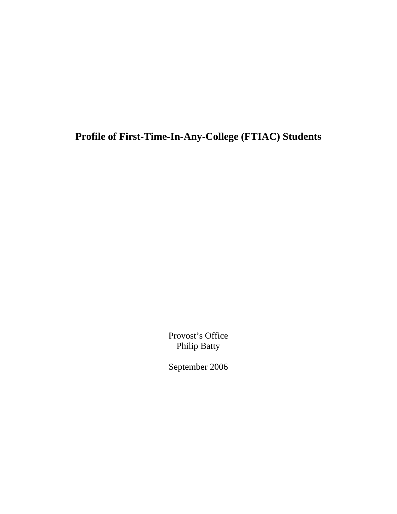**Profile of First-Time-In-Any-College (FTIAC) Students** 

Provost's Office Philip Batty

September 2006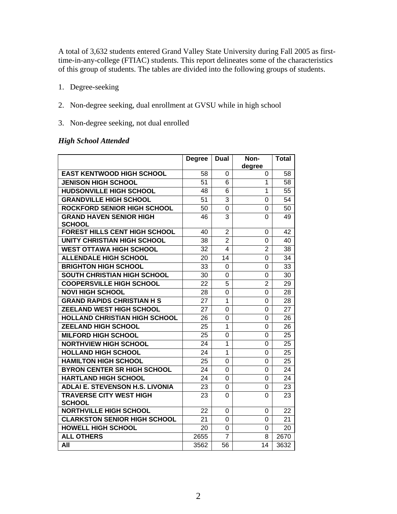A total of 3,632 students entered Grand Valley State University during Fall 2005 as firsttime-in-any-college (FTIAC) students. This report delineates some of the characteristics of this group of students. The tables are divided into the following groups of students.

- 1. Degree-seeking
- 2. Non-degree seeking, dual enrollment at GVSU while in high school
- 3. Non-degree seeking, not dual enrolled

#### *High School Attended*

|                                                 | <b>Degree</b> | Dual           | Non-           | <b>Total</b> |
|-------------------------------------------------|---------------|----------------|----------------|--------------|
|                                                 |               |                | degree         |              |
| <b>EAST KENTWOOD HIGH SCHOOL</b>                | 58            | 0              | 0              | 58           |
| <b>JENISON HIGH SCHOOL</b>                      | 51            | 6              | 1              | 58           |
| <b>HUDSONVILLE HIGH SCHOOL</b>                  | 48            | 6              | 1              | 55           |
| <b>GRANDVILLE HIGH SCHOOL</b>                   | 51            | 3              | 0              | 54           |
| <b>ROCKFORD SENIOR HIGH SCHOOL</b>              | 50            | 0              | 0              | 50           |
| <b>GRAND HAVEN SENIOR HIGH</b><br><b>SCHOOL</b> | 46            | 3              | 0              | 49           |
| <b>FOREST HILLS CENT HIGH SCHOOL</b>            | 40            | $\overline{2}$ | 0              | 42           |
| <b>UNITY CHRISTIAN HIGH SCHOOL</b>              | 38            | $\overline{2}$ | 0              | 40           |
| <b>WEST OTTAWA HIGH SCHOOL</b>                  | 32            | 4              | $\overline{2}$ | 38           |
| <b>ALLENDALE HIGH SCHOOL</b>                    | 20            | 14             | 0              | 34           |
| <b>BRIGHTON HIGH SCHOOL</b>                     | 33            | 0              | 0              | 33           |
| <b>SOUTH CHRISTIAN HIGH SCHOOL</b>              | 30            | 0              | 0              | 30           |
| <b>COOPERSVILLE HIGH SCHOOL</b>                 | 22            | 5              | $\overline{2}$ | 29           |
| <b>NOVI HIGH SCHOOL</b>                         | 28            | 0              | 0              | 28           |
| <b>GRAND RAPIDS CHRISTIAN H S</b>               | 27            | 1              | 0              | 28           |
| <b>ZEELAND WEST HIGH SCHOOL</b>                 | 27            | 0              | 0              | 27           |
| <b>HOLLAND CHRISTIAN HIGH SCHOOL</b>            | 26            | 0              | 0              | 26           |
| <b>ZEELAND HIGH SCHOOL</b>                      | 25            | 1              | 0              | 26           |
| <b>MILFORD HIGH SCHOOL</b>                      | 25            | $\Omega$       | $\Omega$       | 25           |
| <b>NORTHVIEW HIGH SCHOOL</b>                    | 24            | 1              | 0              | 25           |
| <b>HOLLAND HIGH SCHOOL</b>                      | 24            | $\mathbf{1}$   | 0              | 25           |
| <b>HAMILTON HIGH SCHOOL</b>                     | 25            | $\Omega$       | $\Omega$       | 25           |
| <b>BYRON CENTER SR HIGH SCHOOL</b>              | 24            | 0              | 0              | 24           |
| <b>HARTLAND HIGH SCHOOL</b>                     | 24            | 0              | 0              | 24           |
| <b>ADLAI E. STEVENSON H.S. LIVONIA</b>          | 23            | 0              | 0              | 23           |
| <b>TRAVERSE CITY WEST HIGH</b><br><b>SCHOOL</b> | 23            | 0              | 0              | 23           |
| <b>NORTHVILLE HIGH SCHOOL</b>                   | 22            | 0              | 0              | 22           |
| <b>CLARKSTON SENIOR HIGH SCHOOL</b>             | 21            | $\Omega$       | 0              | 21           |
| <b>HOWELL HIGH SCHOOL</b>                       | 20            | 0              | 0              | 20           |
| <b>ALL OTHERS</b>                               | 2655          | $\overline{7}$ | 8              | 2670         |
| All                                             | 3562          | 56             | 14             | 3632         |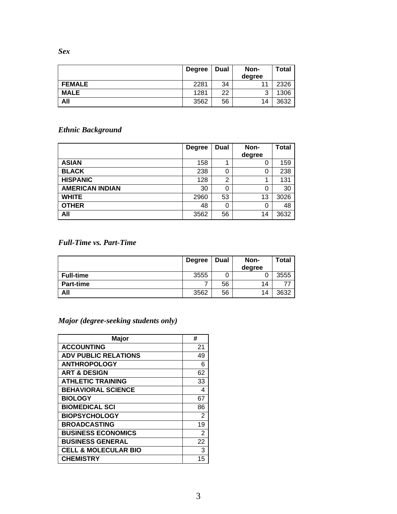*Sex* 

|               | <b>Degree</b> | <b>Dual</b> | Non-   | Total |
|---------------|---------------|-------------|--------|-------|
|               |               |             | degree |       |
| <b>FEMALE</b> | 2281          | 34          |        | 2326  |
| <b>MALE</b>   | 1281          | 22          | 2<br>ັ | 1306  |
| All           | 3562          | 56          | 14     | 3632  |

# *Ethnic Background*

|                        | <b>Degree</b> | Dual | Non-   | <b>Total</b> |
|------------------------|---------------|------|--------|--------------|
|                        |               |      | degree |              |
| <b>ASIAN</b>           | 158           |      | 0      | 159          |
| <b>BLACK</b>           | 238           | 0    | 0      | 238          |
| <b>HISPANIC</b>        | 128           | ົ    |        | 131          |
| <b>AMERICAN INDIAN</b> | 30            | 0    | 0      | 30           |
| <b>WHITE</b>           | 2960          | 53   | 13     | 3026         |
| <b>OTHER</b>           | 48            | 0    | 0      | 48           |
| All                    | 3562          | 56   | 14     | 3632         |

## *Full-Time vs. Part-Time*

|                  | <b>Degree</b> | <b>Dual</b> | Non-   | <b>Total</b> |
|------------------|---------------|-------------|--------|--------------|
|                  |               |             | degree |              |
| <b>Full-time</b> | 3555          |             |        | 3555         |
| <b>Part-time</b> |               | 56          | 14     | 77           |
| All              | 3562          | 56          | 14     | 3632         |

# *Major (degree-seeking students only)*

| <b>Major</b>                    | #              |
|---------------------------------|----------------|
| <b>ACCOUNTING</b>               | 21             |
| <b>ADV PUBLIC RELATIONS</b>     | 49             |
| <b>ANTHROPOLOGY</b>             | 6              |
| <b>ART &amp; DESIGN</b>         | 62             |
| <b>ATHLETIC TRAINING</b>        | 33             |
| <b>BEHAVIORAL SCIENCE</b>       | 4              |
| <b>BIOLOGY</b>                  | 67             |
| <b>BIOMEDICAL SCI</b>           | 86             |
| <b>BIOPSYCHOLOGY</b>            | $\mathbf{2}$   |
| <b>BROADCASTING</b>             | 19             |
| <b>BUSINESS ECONOMICS</b>       | $\overline{2}$ |
| <b>BUSINESS GENERAL</b>         | 22             |
| <b>CELL &amp; MOLECULAR BIO</b> | 3              |
| <b>CHEMISTRY</b>                | 15             |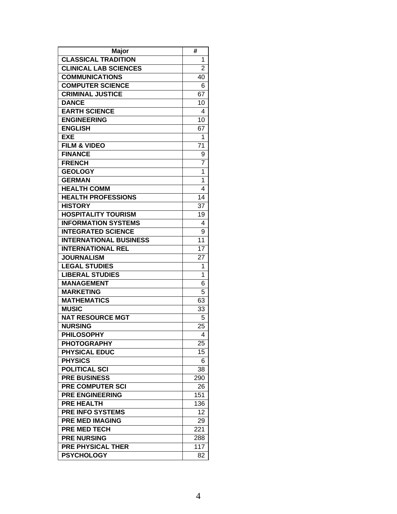| Major                         | #               |
|-------------------------------|-----------------|
| <b>CLASSICAL TRADITION</b>    | 1               |
| <b>CLINICAL LAB SCIENCES</b>  | $\overline{2}$  |
| <b>COMMUNICATIONS</b>         | 40              |
| <b>COMPUTER SCIENCE</b>       | 6               |
| <b>CRIMINAL JUSTICE</b>       | 67              |
| <b>DANCE</b>                  | 10              |
| <b>EARTH SCIENCE</b>          | 4               |
| <b>ENGINEERING</b>            | 10              |
| <b>ENGLISH</b>                | 67              |
| <b>EXE</b>                    | 1               |
| <b>FILM &amp; VIDEO</b>       | 71              |
| <b>FINANCE</b>                | 9               |
| <b>FRENCH</b>                 | 7               |
| <b>GEOLOGY</b>                | 1               |
| <b>GERMAN</b>                 | 1               |
| <b>HEALTH COMM</b>            | 4               |
| <b>HEALTH PROFESSIONS</b>     | 14              |
| <b>HISTORY</b>                | 37              |
| <b>HOSPITALITY TOURISM</b>    | 19              |
| <b>INFORMATION SYSTEMS</b>    | 4               |
| <b>INTEGRATED SCIENCE</b>     | 9               |
| <b>INTERNATIONAL BUSINESS</b> | 11              |
| <b>INTERNATIONAL REL</b>      | $\overline{17}$ |
| <b>JOURNALISM</b>             | 27              |
| <b>LEGAL STUDIES</b>          | 1               |
| <b>LIBERAL STUDIES</b>        | 1               |
| <b>MANAGEMENT</b>             | 6               |
| <b>MARKETING</b>              | 5               |
| <b>MATHEMATICS</b>            | 63              |
| <b>MUSIC</b>                  | 33              |
| <b>NAT RESOURCE MGT</b>       | 5               |
| <b>NURSING</b>                | 25              |
| <b>PHILOSOPHY</b>             | 4               |
| <b>PHOTOGRAPHY</b>            | 25              |
| <b>PHYSICAL EDUC</b>          | 15              |
| <b>PHYSICS</b>                | 6               |
| <b>POLITICAL SCI</b>          | 38              |
| <b>PRE BUSINESS</b>           | 290             |
| <b>PRE COMPUTER SCI</b>       | 26              |
| <b>PRE ENGINEERING</b>        | 151             |
| <b>PRE HEALTH</b>             | 136             |
| <b>PRE INFO SYSTEMS</b>       | 12              |
| <b>PRE MED IMAGING</b>        | 29              |
| <b>PRE MED TECH</b>           | 221             |
| <b>PRE NURSING</b>            | 288             |
| <b>PRE PHYSICAL THER</b>      | 117             |
| <b>PSYCHOLOGY</b>             | 82              |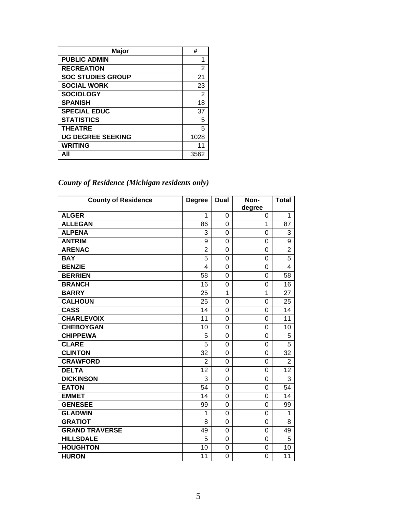| <b>Major</b>             | #              |
|--------------------------|----------------|
| <b>PUBLIC ADMIN</b>      | 1              |
| <b>RECREATION</b>        | 2              |
| <b>SOC STUDIES GROUP</b> | 21             |
| <b>SOCIAL WORK</b>       | 23             |
| <b>SOCIOLOGY</b>         | $\overline{2}$ |
| <b>SPANISH</b>           | 18             |
| <b>SPECIAL EDUC</b>      | 37             |
| <b>STATISTICS</b>        | 5              |
| <b>THEATRE</b>           | 5              |
| <b>UG DEGREE SEEKING</b> | 1028           |
| <b>WRITING</b>           | 11             |
| All                      | 3562           |

*County of Residence (Michigan residents only)* 

| <b>County of Residence</b> | <b>Degree</b>  | <b>Dual</b>    | Non-           | <b>Total</b>   |
|----------------------------|----------------|----------------|----------------|----------------|
|                            |                |                | degree         |                |
| <b>ALGER</b>               | 1              | $\Omega$       | 0              | 1              |
| <b>ALLEGAN</b>             | 86             | $\Omega$       | 1              | 87             |
| <b>ALPENA</b>              | 3              | 0              | 0              | 3              |
| <b>ANTRIM</b>              | 9              | $\overline{0}$ | 0              | 9              |
| <b>ARENAC</b>              | $\overline{2}$ | $\Omega$       | 0              | $\overline{2}$ |
| <b>BAY</b>                 | 5              | 0              | 0              | 5              |
| <b>BENZIE</b>              | $\overline{4}$ | 0              | 0              | $\overline{4}$ |
| <b>BERRIEN</b>             | 58             | $\Omega$       | 0              | 58             |
| <b>BRANCH</b>              | 16             | 0              | 0              | 16             |
| <b>BARRY</b>               | 25             | 1              | 1              | 27             |
| <b>CALHOUN</b>             | 25             | $\Omega$       | 0              | 25             |
| <b>CASS</b>                | 14             | 0              | 0              | 14             |
| <b>CHARLEVOIX</b>          | 11             | 0              | 0              | 11             |
| <b>CHEBOYGAN</b>           | 10             | 0              | $\overline{0}$ | 10             |
| <b>CHIPPEWA</b>            | 5              | $\Omega$       | 0              | 5              |
| <b>CLARE</b>               | 5              | $\Omega$       | 0              | 5              |
| <b>CLINTON</b>             | 32             | $\overline{0}$ | 0              | 32             |
| <b>CRAWFORD</b>            | $\overline{2}$ | 0              | 0              | $\overline{2}$ |
| <b>DELTA</b>               | 12             | 0              | 0              | 12             |
| <b>DICKINSON</b>           | 3              | $\Omega$       | 0              | 3              |
| <b>EATON</b>               | 54             | $\Omega$       | 0              | 54             |
| <b>EMMET</b>               | 14             | $\Omega$       | 0              | 14             |
| <b>GENESEE</b>             | 99             | $\overline{0}$ | 0              | 99             |
| <b>GLADWIN</b>             | 1              | 0              | 0              | 1              |
| <b>GRATIOT</b>             | 8              | 0              | 0              | 8              |
| <b>GRAND TRAVERSE</b>      | 49             | $\Omega$       | 0              | 49             |
| <b>HILLSDALE</b>           | 5              | 0              | 0              | 5              |
| <b>HOUGHTON</b>            | 10             | 0              | 0              | 10             |
| <b>HURON</b>               | 11             | 0              | 0              | 11             |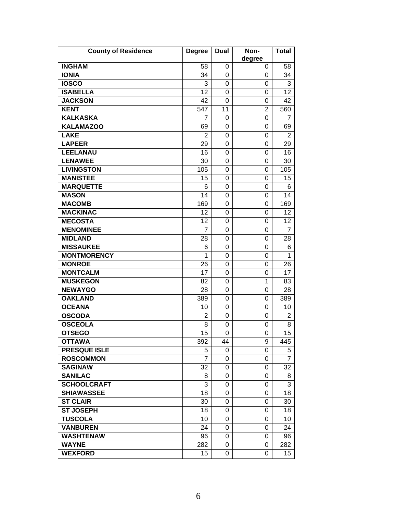| <b>County of Residence</b> | <b>Degree</b>  | <b>Dual</b> | Non-           | <b>Total</b>   |
|----------------------------|----------------|-------------|----------------|----------------|
| <b>INGHAM</b>              | 58             | 0           | degree<br>0    | 58             |
| <b>IONIA</b>               | 34             | 0           | 0              | 34             |
| <b>IOSCO</b>               | 3              | 0           | 0              | 3              |
| <b>ISABELLA</b>            | 12             | 0           | 0              | 12             |
| <b>JACKSON</b>             | 42             | 0           | 0              | 42             |
| <b>KENT</b>                | 547            | 11          | $\overline{2}$ | 560            |
| <b>KALKASKA</b>            | 7              | 0           | 0              | 7              |
| <b>KALAMAZOO</b>           | 69             | $\Omega$    | 0              | 69             |
| <b>LAKE</b>                | $\overline{2}$ | 0           | 0              | $\overline{2}$ |
| <b>LAPEER</b>              | 29             | 0           | 0              | 29             |
| <b>LEELANAU</b>            | 16             | 0           | 0              | 16             |
| <b>LENAWEE</b>             | 30             | 0           | 0              | 30             |
| <b>LIVINGSTON</b>          | 105            | 0           | 0              | 105            |
| <b>MANISTEE</b>            | 15             | 0           | 0              | 15             |
| <b>MARQUETTE</b>           | 6              | $\Omega$    | 0              | 6              |
| <b>MASON</b>               | 14             | 0           | 0              | 14             |
| <b>MACOMB</b>              | 169            | 0           | 0              | 169            |
| <b>MACKINAC</b>            | 12             | 0           | 0              | 12             |
| <b>MECOSTA</b>             | 12             | 0           | 0              | 12             |
| <b>MENOMINEE</b>           | 7              | $\Omega$    | 0              | 7              |
| <b>MIDLAND</b>             | 28             | 0           | 0              | 28             |
| <b>MISSAUKEE</b>           | 6              | 0           | 0              | 6              |
| <b>MONTMORENCY</b>         | 1              | 0           | 0              | 1              |
| <b>MONROE</b>              | 26             | 0           | 0              | 26             |
| <b>MONTCALM</b>            | 17             | 0           | 0              | 17             |
| <b>MUSKEGON</b>            | 82             | 0           | 1              | 83             |
| <b>NEWAYGO</b>             | 28             | 0           | 0              | 28             |
| <b>OAKLAND</b>             | 389            | 0           | 0              | 389            |
| <b>OCEANA</b>              | 10             | 0           | 0              | 10             |
| <b>OSCODA</b>              | 2              | 0           | 0              | 2              |
| <b>OSCEOLA</b>             | 8              | 0           | 0              | 8              |
| <b>OTSEGO</b>              | 15             | 0           | 0              | 15             |
| <b>OTTAWA</b>              | 392            | 44          | 9              | 445            |
| <b>PRESQUE ISLE</b>        | 5              | $\Omega$    | 0              | 5              |
| <b>ROSCOMMON</b>           | 7              | 0           | 0              | 7              |
| <b>SAGINAW</b>             | 32             | 0           | 0              | 32             |
| <b>SANILAC</b>             | 8              | 0           | 0              | 8              |
| <b>SCHOOLCRAFT</b>         | 3              | 0           | 0              | 3              |
| <b>SHIAWASSEE</b>          | 18             | $\Omega$    | 0              | 18             |
| <b>ST CLAIR</b>            | 30             | 0           | 0              | 30             |
| <b>ST JOSEPH</b>           | 18             | 0           | 0              | 18             |
| <b>TUSCOLA</b>             | 10             | 0           | 0              | 10             |
| <b>VANBUREN</b>            | 24             | 0           | 0              | 24             |
| <b>WASHTENAW</b>           | 96             | 0           | 0              | 96             |
| <b>WAYNE</b>               | 282            | 0           | 0              | 282            |
| <b>WEXFORD</b>             | 15             | 0           | 0              | 15             |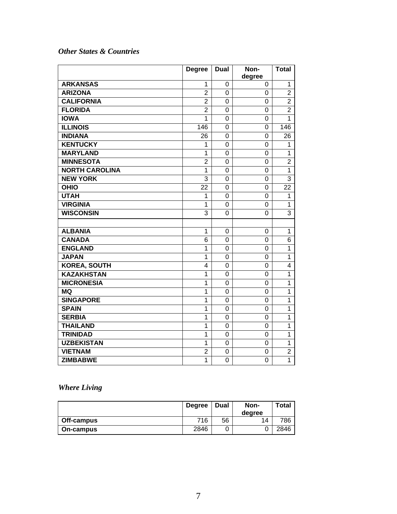## *Other States & Countries*

|                       | <b>Degree</b>  | <b>Dual</b>    | Non-        | <b>Total</b>   |
|-----------------------|----------------|----------------|-------------|----------------|
| <b>ARKANSAS</b>       | 1              | 0              | degree<br>0 | 1              |
| <b>ARIZONA</b>        | $\overline{2}$ | 0              | 0           | $\overline{2}$ |
| <b>CALIFORNIA</b>     | $\overline{2}$ | $\overline{0}$ | 0           | $\overline{2}$ |
| <b>FLORIDA</b>        | $\overline{2}$ | $\mathbf 0$    | 0           | $\overline{2}$ |
| <b>IOWA</b>           | 1              | $\overline{0}$ | 0           | 1              |
| <b>ILLINOIS</b>       | 146            | $\Omega$       | 0           | 146            |
| <b>INDIANA</b>        | 26             | 0              | 0           | 26             |
| <b>KENTUCKY</b>       | 1              | $\overline{0}$ | 0           | 1              |
| <b>MARYLAND</b>       | $\overline{1}$ | $\overline{0}$ | 0           | 1              |
| <b>MINNESOTA</b>      | $\overline{2}$ | $\mathbf 0$    | 0           | $\overline{2}$ |
| <b>NORTH CAROLINA</b> | $\mathbf{1}$   | $\mathbf 0$    | 0           | 1              |
| <b>NEW YORK</b>       | 3              | $\overline{0}$ | 0           | 3              |
| <b>OHIO</b>           | 22             | $\Omega$       | 0           | 22             |
| <b>UTAH</b>           | 1              | $\Omega$       | 0           | 1              |
| <b>VIRGINIA</b>       | 1              | $\Omega$       | 0           | 1              |
| <b>WISCONSIN</b>      | 3              | 0              | 0           | 3              |
|                       |                |                |             |                |
| <b>ALBANIA</b>        | $\mathbf{1}$   | 0              | 0           | $\overline{1}$ |
| <b>CANADA</b>         | 6              | 0              | 0           | 6              |
| <b>ENGLAND</b>        | 1              | 0              | 0           | 1              |
| <b>JAPAN</b>          | 1              | 0              | 0           | 1              |
| <b>KOREA, SOUTH</b>   | 4              | $\overline{0}$ | 0           | $\overline{4}$ |
| <b>KAZAKHSTAN</b>     | $\overline{1}$ | $\mathbf 0$    | 0           | 1              |
| <b>MICRONESIA</b>     | $\mathbf{1}$   | 0              | 0           | 1              |
| <b>MQ</b>             | $\mathbf{1}$   | $\overline{0}$ | 0           | 1              |
| <b>SINGAPORE</b>      | $\overline{1}$ | 0              | 0           | $\overline{1}$ |
| <b>SPAIN</b>          | 1              | 0              | 0           | 1              |
| <b>SERBIA</b>         | 1              | 0              | 0           | 1              |
| <b>THAILAND</b>       | $\mathbf{1}$   | 0              | 0           | 1              |
| <b>TRINIDAD</b>       | $\mathbf{1}$   | 0              | 0           | 1              |
| <b>UZBEKISTAN</b>     | $\mathbf{1}$   | $\mathbf 0$    | 0           | 1              |
| <b>VIETNAM</b>        | $\overline{2}$ | 0              | 0           | $\overline{2}$ |
| <b>ZIMBABWE</b>       | $\overline{1}$ | 0              | 0           | $\overline{1}$ |

# *Where Living*

|            | <b>Degree</b> | <b>Dual</b> | Non-   | Total |
|------------|---------------|-------------|--------|-------|
|            |               |             | dearee |       |
| Off-campus | 716           | 56          | 14     | 786   |
| On-campus  | 2846          |             |        | 2846  |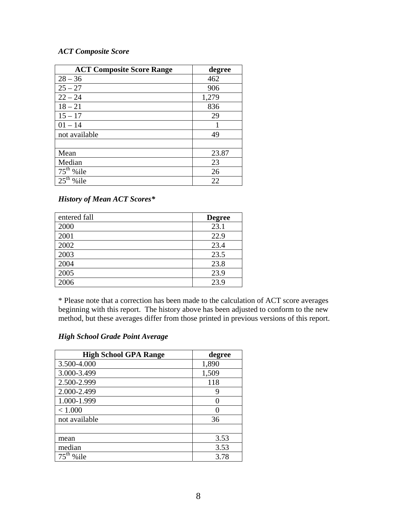#### *ACT Composite Score*

| <b>ACT Composite Score Range</b> | degree |
|----------------------------------|--------|
| $28 - 36$                        | 462    |
| $25 - 27$                        | 906    |
| $22 - 24$                        | 1,279  |
| $18 - 21$                        | 836    |
| $15 - 17$                        | 29     |
| $01 - 14$                        |        |
| not available                    | 49     |
|                                  |        |
| Mean                             | 23.87  |
| Median                           | 23     |
| $75th$ % ile                     | 26     |
| %ile                             | 22     |

#### *History of Mean ACT Scores\**

| entered fall | <b>Degree</b> |
|--------------|---------------|
| 2000         | 23.1          |
| 2001         | 22.9          |
| 2002         | 23.4          |
| 2003         | 23.5          |
| 2004         | 23.8          |
| 2005         | 23.9          |
| 2006         | 23.9          |

\* Please note that a correction has been made to the calculation of ACT score averages beginning with this report. The history above has been adjusted to conform to the new method, but these averages differ from those printed in previous versions of this report.

#### *High School Grade Point Average*

| <b>High School GPA Range</b> | degree |
|------------------------------|--------|
| 3.500-4.000                  | 1,890  |
| 3.000-3.499                  | 1,509  |
| 2.500-2.999                  | 118    |
| 2.000-2.499                  | 9      |
| 1.000-1.999                  |        |
| < 1.000                      |        |
| not available                | 36     |
|                              |        |
| mean                         | 3.53   |
| median                       | 3.53   |
| $75th$ % ile                 | 3.78   |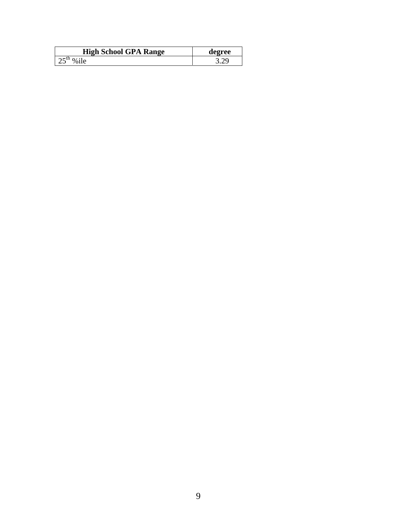| <b>High School GPA Range</b> | degree |
|------------------------------|--------|
|                              |        |